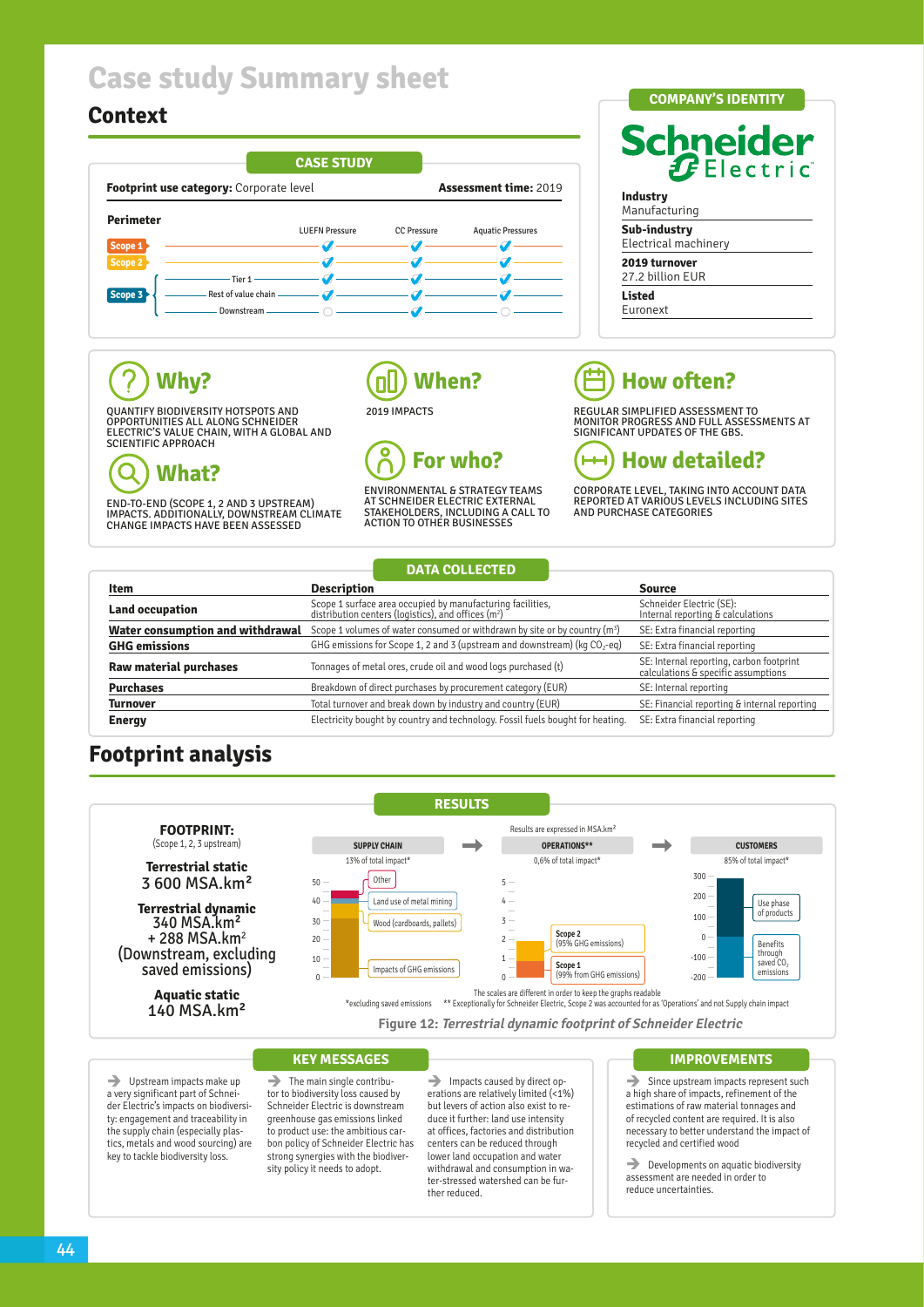# **Case study Summary sheet**

## **Context**



## **COMPANY'S IDENTITY Schneider**  $\boldsymbol{f}$ Electric **Industry** Manufacturing **Sub-industry**

Electrical machinery **2019 turnover**

27.2 billion EUR

**Listed** Euronext

## ?<br>? **Why?**

QUANTIFY BIODIVERSITY HOTSPOTS AND OPPORTUNITIES ALL ALONG SCHNEIDER ELECTRIC'S VALUE CHAIN, WITH A GLOBAL AND SCIENTIFIC APPROACH

### **What?** Q

END-TO-END (SCOPE 1, 2 AND 3 UPSTREAM) IMPACTS. ADDITIONALLY, DOWNSTREAM CLIMATE CHANGE IMPACTS HAVE BEEN ASSESSED

### **When?** ПI 2019 IMPACTS

O **For who?**

ENVIRONMENTAL & STRATEGY TEAMS AT SCHNEIDER ELECTRIC EXTERNAL STAKEHOLDERS, INCLUDING A CALL TO ACTION TO OTHER BUSINESSES

# **How often?**

REGULAR SIMPLIFIED ASSESSMENT TO MONITOR PROGRESS AND FULL ASSESSMENTS AT SIGNIFICANT UPDATES OF THE GBS.



CORPORATE LEVEL, TAKING INTO ACCOUNT DATA REPORTED AT VARIOUS LEVELS INCLUDING SITES AND PURCHASE CATEGORIES

## **DATA COLLECTED**

| Item                             | <b>Description</b>                                                                                                            | Source                                                                          |
|----------------------------------|-------------------------------------------------------------------------------------------------------------------------------|---------------------------------------------------------------------------------|
| <b>Land occupation</b>           | Scope 1 surface area occupied by manufacturing facilities,<br>distribution centers (logistics), and offices (m <sup>2</sup> ) | Schneider Electric (SE):<br>Internal reporting & calculations                   |
| Water consumption and withdrawal | Scope 1 volumes of water consumed or withdrawn by site or by country (m <sup>3</sup> )                                        | SE: Extra financial reporting                                                   |
| <b>GHG emissions</b>             | GHG emissions for Scope 1, 2 and 3 (upstream and downstream) ( $kg CO2$ -eq)                                                  | SE: Extra financial reporting                                                   |
| Raw material purchases           | Tonnages of metal ores, crude oil and wood logs purchased (t)                                                                 | SE: Internal reporting, carbon footprint<br>calculations & specific assumptions |
| <b>Purchases</b>                 | Breakdown of direct purchases by procurement category (EUR)                                                                   | SE: Internal reporting                                                          |
| <b>Turnover</b>                  | Total turnover and break down by industry and country (EUR)                                                                   | SE: Financial reporting & internal reporting                                    |
| <b>Energy</b>                    | Electricity bought by country and technology. Fossil fuels bought for heating.                                                | SE: Extra financial reporting                                                   |

## **Footprint analysis**



**Figure 12: Terrestrial dynamic footprint of Schneider Electric**

### **KEY MESSAGES**

 $\rightarrow$  Upstream impacts make up a very significant part of Schneider Electric's impacts on biodiversity: engagement and traceability in the supply chain (especially plastics, metals and wood sourcing) are key to tackle biodiversity loss.

 $\rightarrow$  The main single contributor to biodiversity loss caused by Schneider Electric is downstream greenhouse gas emissions linked to product use: the ambitious carbon policy of Schneider Electric has strong synergies with the biodiversity policy it needs to adopt.

 $\rightarrow$  Impacts caused by direct operations are relatively limited (<1%) but levers of action also exist to reduce it further: land use intensity at offices, factories and distribution centers can be reduced through lower land occupation and water withdrawal and consumption in water-stressed watershed can be further reduced.

### **IMPROVEMENTS**

 $\rightarrow$  Since upstream impacts represent such a high share of impacts, refinement of the estimations of raw material tonnages and of recycled content are required. It is also necessary to better understand the impact of recycled and certified wood

 $\rightarrow$  Developments on aquatic biodiversity assessment are needed in order to reduce uncertainties.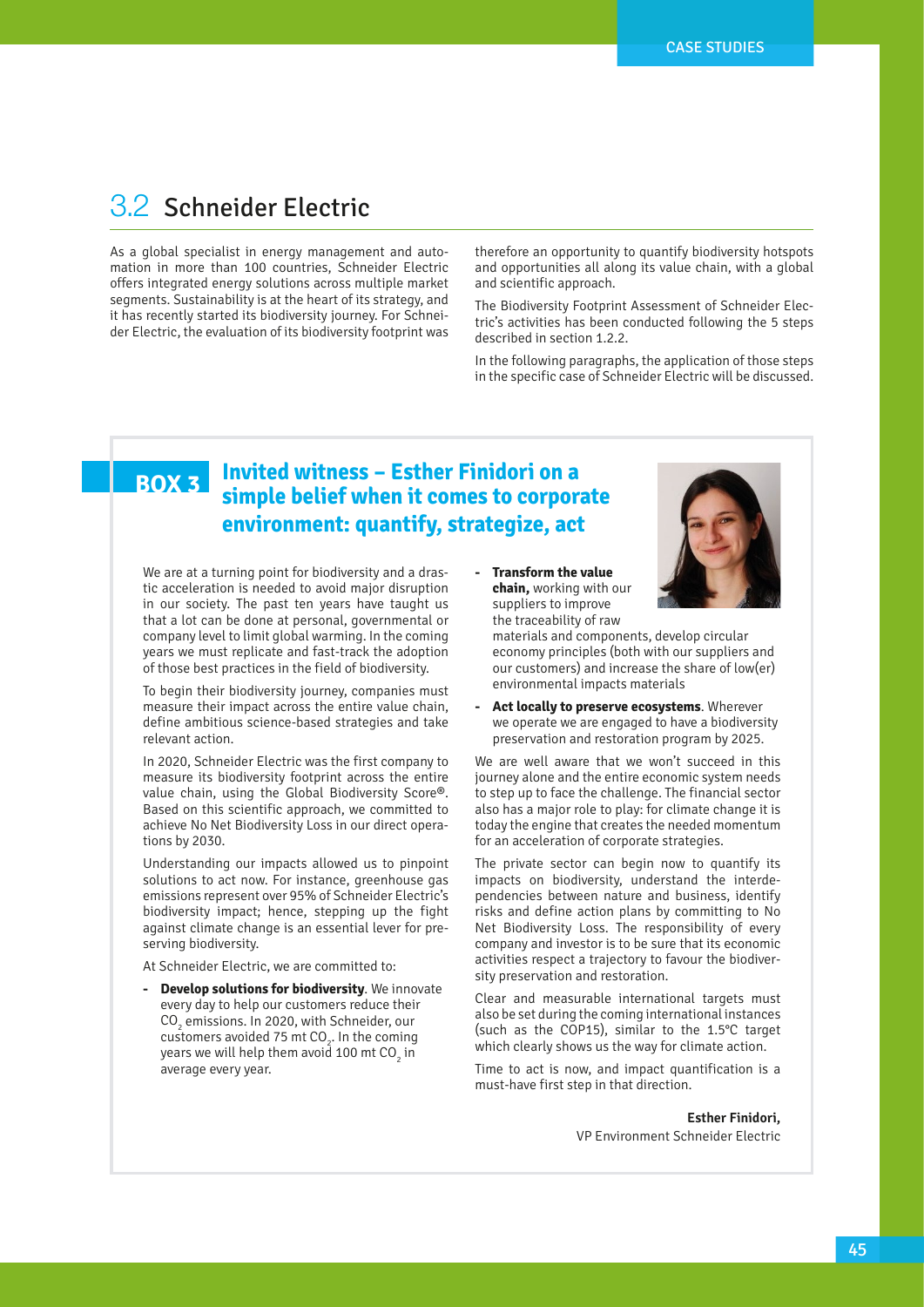## 3.2 Schneider Electric

As a global specialist in energy management and automation in more than 100 countries, Schneider Electric offers integrated energy solutions across multiple market segments. Sustainability is at the heart of its strategy, and it has recently started its biodiversity journey. For Schneider Electric, the evaluation of its biodiversity footprint was

therefore an opportunity to quantify biodiversity hotspots and opportunities all along its value chain, with a global and scientific approach.

The Biodiversity Footprint Assessment of Schneider Electric's activities has been conducted following the 5 steps described in section 1.2.2.

In the following paragraphs, the application of those steps in the specific case of Schneider Electric will be discussed.

### **BOX 3 Invited witness – Esther Finidori on a simple belief when it comes to corporate environment: quantify, strategize, act**

We are at a turning point for biodiversity and a drastic acceleration is needed to avoid major disruption in our society. The past ten years have taught us that a lot can be done at personal, governmental or company level to limit global warming. In the coming years we must replicate and fast-track the adoption of those best practices in the field of biodiversity.

To begin their biodiversity journey, companies must measure their impact across the entire value chain, define ambitious science-based strategies and take relevant action.

In 2020, Schneider Electric was the first company to measure its biodiversity footprint across the entire value chain, using the Global Biodiversity Score®. Based on this scientific approach, we committed to achieve No Net Biodiversity Loss in our direct operations by 2030.

Understanding our impacts allowed us to pinpoint solutions to act now. For instance, greenhouse gas emissions represent over 95% of Schneider Electric's biodiversity impact; hence, stepping up the fight against climate change is an essential lever for preserving biodiversity.

At Schneider Electric, we are committed to:

**- Develop solutions for biodiversity**. We innovate every day to help our customers reduce their  $\mathrm{CO}_2$  emissions. In 2020, with Schneider, our customers avoided 75 mt  $CO<sub>2</sub>$ . In the coming years we will help them avoid 100 mt CO $_{_2}$  in average every year.

**- Transform the value chain,** working with our suppliers to improve the traceability of raw

materials and components, develop circular economy principles (both with our suppliers and our customers) and increase the share of low(er) environmental impacts materials

**- Act locally to preserve ecosystems**. Wherever we operate we are engaged to have a biodiversity preservation and restoration program by 2025.

We are well aware that we won't succeed in this journey alone and the entire economic system needs to step up to face the challenge. The financial sector also has a major role to play: for climate change it is today the engine that creates the needed momentum for an acceleration of corporate strategies.

The private sector can begin now to quantify its impacts on biodiversity, understand the interdependencies between nature and business, identify risks and define action plans by committing to No Net Biodiversity Loss. The responsibility of every company and investor is to be sure that its economic activities respect a trajectory to favour the biodiversity preservation and restoration.

Clear and measurable international targets must also be set during the coming international instances (such as the COP15), similar to the 1.5°C target which clearly shows us the way for climate action.

Time to act is now, and impact quantification is a must-have first step in that direction.

> **Esther Finidori,**  VP Environment Schneider Electric

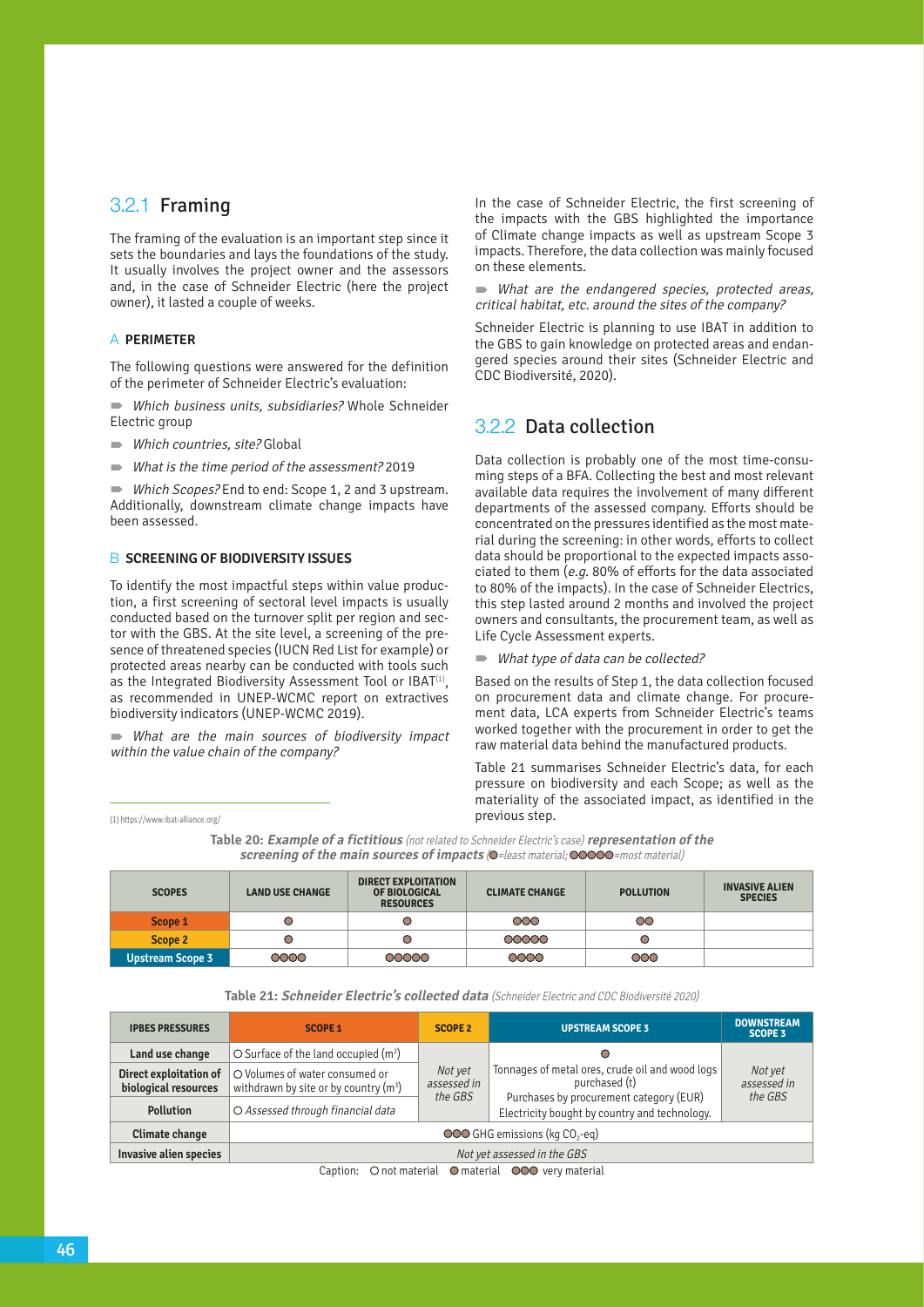## 3.2.1 Framing

The framing of the evaluation is an important step since it sets the boundaries and lays the foundations of the study. It usually involves the project owner and the assessors and, in the case of Schneider Electric (here the project owner), it lasted a couple of weeks.

#### a **PERIMETER**

The following questions were answered for the definition of the perimeter of Schneider Electric's evaluation:

 Which business units, subsidiaries? Whole Schneider Electric group

- Which countries, site? Global
- What is the time period of the assessment? 2019

Which Scopes? End to end: Scope 1, 2 and 3 upstream. Additionally, downstream climate change impacts have been assessed.

#### **B SCREENING OF BIODIVERSITY ISSUES**

To identify the most impactful steps within value production, a first screening of sectoral level impacts is usually conducted based on the turnover split per region and sector with the GBS. At the site level, a screening of the presence of threatened species (IUCN Red List for example) or protected areas nearby can be conducted with tools such as the Integrated Biodiversity Assessment Tool or IBAT $(1)$ , as recommended in UNEP-WCMC report on extractives biodiversity indicators (UNEP-WCMC 2019).

What are the main sources of biodiversity impact within the value chain of the company?

(1) https://www.ibat-alliance.org/

In the case of Schneider Electric, the first screening of the impacts with the GBS highlighted the importance of Climate change impacts as well as upstream Scope 3 impacts. Therefore, the data collection was mainly focused on these elements.

 What are the endangered species, protected areas, critical habitat, etc. around the sites of the company?

Schneider Electric is planning to use IBAT in addition to the GBS to gain knowledge on protected areas and endangered species around their sites (Schneider Electric and CDC Biodiversité, 2020).

### 3.2.2 Data collection

Data collection is probably one of the most time-consuming steps of a BFA. Collecting the best and most relevant available data requires the involvement of many different departments of the assessed company. Efforts should be concentrated on the pressures identified as the most material during the screening: in other words, efforts to collect data should be proportional to the expected impacts associated to them (e.g. 80% of efforts for the data associated to 80% of the impacts). In the case of Schneider Electrics, this step lasted around 2 months and involved the project owners and consultants, the procurement team, as well as Life Cycle Assessment experts.

What type of data can be collected?

Based on the results of Step 1, the data collection focused on procurement data and climate change. For procurement data, LCA experts from Schneider Electric's teams worked together with the procurement in order to get the raw material data behind the manufactured products.

Table 21 summarises Schneider Electric's data, for each pressure on biodiversity and each Scope; as well as the materiality of the associated impact, as identified in the previous step.

**Table 20: Example of a fictitious** (not related to Schneider Electric's case) **representation of the screening of the main sources of impacts (O**=least material; **OOOOO**=most material)

| <b>SCOPES</b>           | <b>LAND USE CHANGE</b> | <b>DIRECT EXPLOITATION</b><br>OF BIOLOGICAL<br><b>RESOURCES</b> | <b>CLIMATE CHANGE</b> | <b>POLLUTION</b> | <b>INVASIVE ALIEN</b><br><b>SPECIES</b> |
|-------------------------|------------------------|-----------------------------------------------------------------|-----------------------|------------------|-----------------------------------------|
| Scope 1                 |                        |                                                                 | 000                   | OO               |                                         |
| Scope 2                 |                        |                                                                 | 00000                 |                  |                                         |
| <b>Upstream Scope 3</b> | 0000                   | 00000                                                           | 0000                  | $\infty$         |                                         |

**Table 21: Schneider Electric's collected data** (Schneider Electric and CDC Biodiversité 2020)

| <b>IPBES PRESSURES</b>                         | <b>SCOPE 1</b>                                                            | <b>SCOPE 2</b>                    | <b>UPSTREAM SCOPE 3</b>                                                                                                                                      | <b>DOWNSTREAM</b><br><b>SCOPE 3</b> |
|------------------------------------------------|---------------------------------------------------------------------------|-----------------------------------|--------------------------------------------------------------------------------------------------------------------------------------------------------------|-------------------------------------|
| Land use change                                | $\circ$ Surface of the land occupied (m <sup>2</sup> )                    |                                   |                                                                                                                                                              |                                     |
| Direct exploitation of<br>biological resources | O Volumes of water consumed or<br>withdrawn by site or by country $(m^3)$ | Not yet<br>assessed in<br>the GBS | Tonnages of metal ores, crude oil and wood logs<br>purchased (t)<br>Purchases by procurement category (EUR)<br>Electricity bought by country and technology. | Not yet<br>assessed in<br>the GBS   |
| <b>Pollution</b>                               | O Assessed through financial data                                         |                                   |                                                                                                                                                              |                                     |
| Climate change                                 | OOO GHG emissions (kg CO <sub>2</sub> -eq)                                |                                   |                                                                                                                                                              |                                     |
| Invasive alien species                         | Not yet assessed in the GBS                                               |                                   |                                                                                                                                                              |                                     |

Caption: Onot material Omaterial OOO very material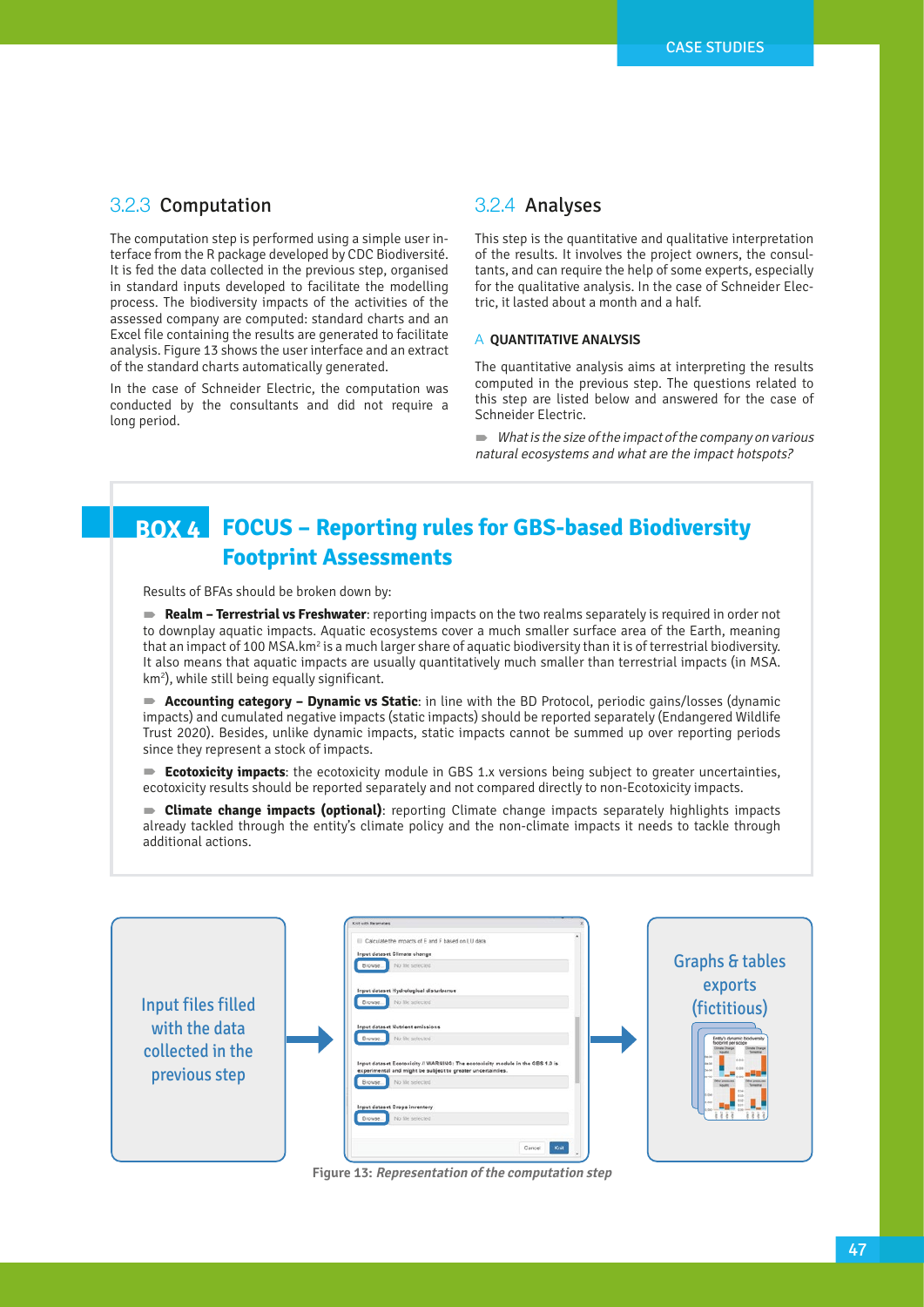### 3.2.3 Computation

The computation step is performed using a simple user interface from the R package developed by CDC Biodiversité. It is fed the data collected in the previous step, organised in standard inputs developed to facilitate the modelling process. The biodiversity impacts of the activities of the assessed company are computed: standard charts and an Excel file containing the results are generated to facilitate analysis. Figure 13 shows the user interface and an extract of the standard charts automatically generated.

In the case of Schneider Electric, the computation was conducted by the consultants and did not require a long period.

### 3.2.4 Analyses

This step is the quantitative and qualitative interpretation of the results. It involves the project owners, the consultants, and can require the help of some experts, especially for the qualitative analysis. In the case of Schneider Electric, it lasted about a month and a half.

#### a **QUANTITATIVE ANALYSIS**

The quantitative analysis aims at interpreting the results computed in the previous step. The questions related to this step are listed below and answered for the case of Schneider Electric.

 $\blacksquare$  What is the size of the impact of the company on various natural ecosystems and what are the impact hotspots?

## **BOX 4 FOCUS – Reporting rules for GBS-based Biodiversity Footprint Assessments**

Results of BFAs should be broken down by:

**Realm – Terrestrial vs Freshwater**: reporting impacts on the two realms separately is required in order not to downplay aquatic impacts. Aquatic ecosystems cover a much smaller surface area of the Earth, meaning that an impact of 100 MSA.km<sup>2</sup> is a much larger share of aquatic biodiversity than it is of terrestrial biodiversity. It also means that aquatic impacts are usually quantitatively much smaller than terrestrial impacts (in MSA. km2 ), while still being equally significant.

**Accounting category – Dynamic vs Static**: in line with the BD Protocol, periodic gains/losses (dynamic **13 Representation steps)** impacts) and cumulated negative impacts (static impacts) should be reported separately (Endangered Wildlife Trust 2020). Besides, unlike dynamic impacts, static impacts cannot be summed up over reporting periods since they represent a stock of impacts.

> **Ecotoxicity impacts**: the ecotoxicity module in GBS 1.x versions being subject to greater uncertainties, ecotoxicity results should be reported separately and not compared directly to non-Ecotoxicity impacts.

> **Climate change impacts (optional)**: reporting Climate change impacts separately highlights impacts already tackled through the entity's climate policy and the non-climate impacts it needs to tackle through additional actions.



**Figure 13: Representation of the computation step**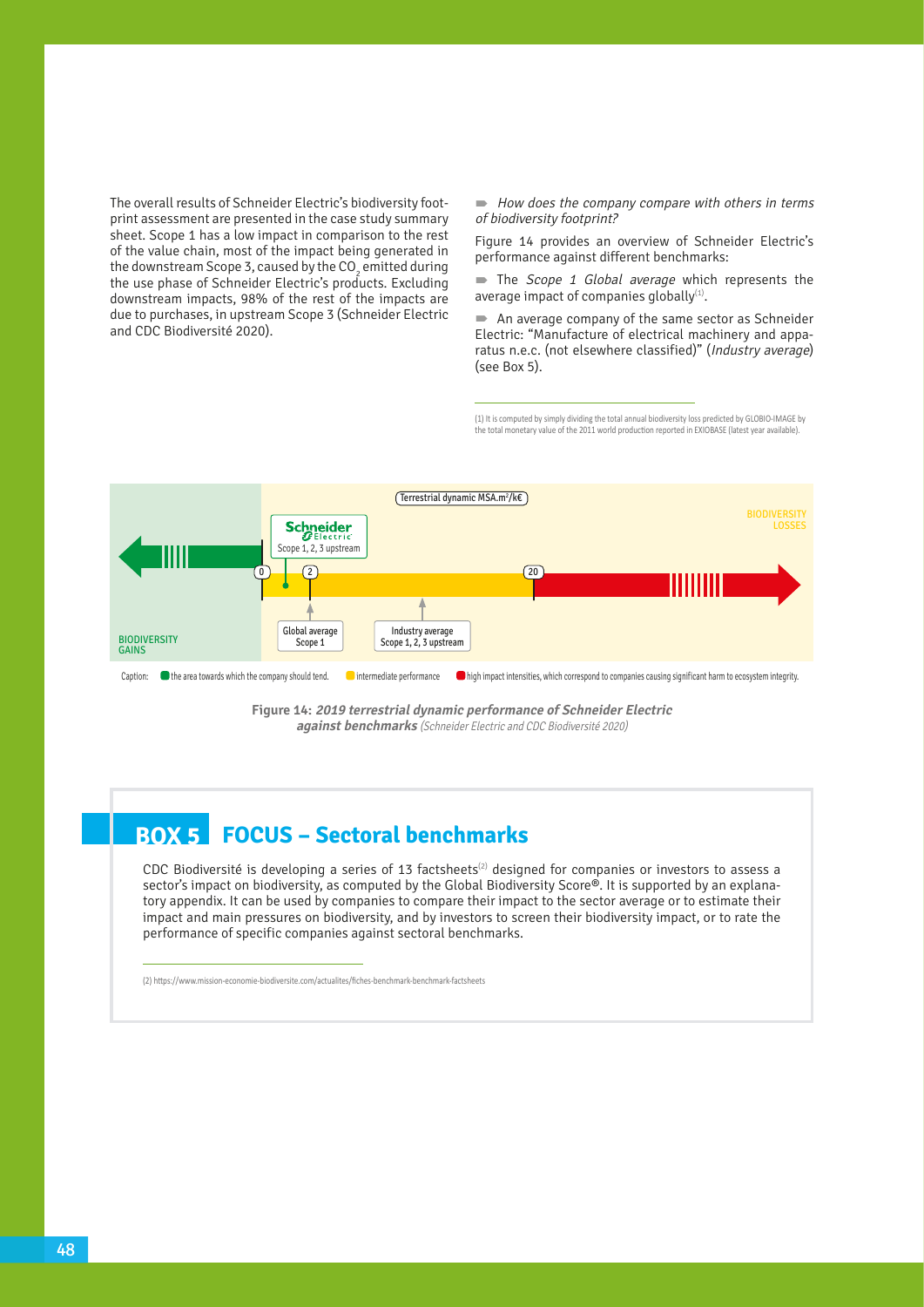The overall results of Schneider Electric's biodiversity footprint assessment are presented in the case study summary sheet. Scope 1 has a low impact in comparison to the rest of the value chain, most of the impact being generated in the downstream Scope 3, caused by the  $CO<sub>2</sub>$  emitted during the use phase of Schneider Electric's products. Excluding downstream impacts, 98% of the rest of the impacts are due to purchases, in upstream Scope 3 (Schneider Electric and CDC Biodiversité 2020). of the value chain, most of the impact being generated in performance against different benchmarks:<br>The downstroam Soone 3, gauged by the CO emitted during performance against different benchmarks:

 $\blacksquare$  How does the company compare with others in terms of biodiversity footprint?

Figure 14 provides an overview of Schneider Electric's

The Scope 1 Global average which represents the average impact of companies globally<sup>(1)</sup>.

 An average company of the same sector as Schneider Electric: "Manufacture of electrical machinery and apparatus n.e.c. (not elsewhere classified)" (Industry average) (see Box 5).

(1) It is computed by simply dividing the total annual biodiversity loss predicted by GLOBIO-IMAGE by the total monetary value of the 2011 world production reported in EXIOBASE (latest year available).



**Figure 14: 2019 terrestrial dynamic performance of Schneider Electric against benchmarks** (Schneider Electric and CDC Biodiversité 2020)

## **BOX 5 FOCUS – Sectoral benchmarks**

CDC Biodiversité is developing a series of 13 factsheets<sup>(2)</sup> designed for companies or investors to assess a sector's impact on biodiversity, as computed by the Global Biodiversity Score®. It is supported by an explanatory appendix. It can be used by companies to compare their impact to the sector average or to estimate their impact and main pressures on biodiversity, and by investors to screen their biodiversity impact, or to rate the performance of specific companies against sectoral benchmarks.

(2) https://www.mission-economie-biodiversite.com/actualites/fiches-benchmark-benchmark-factsheets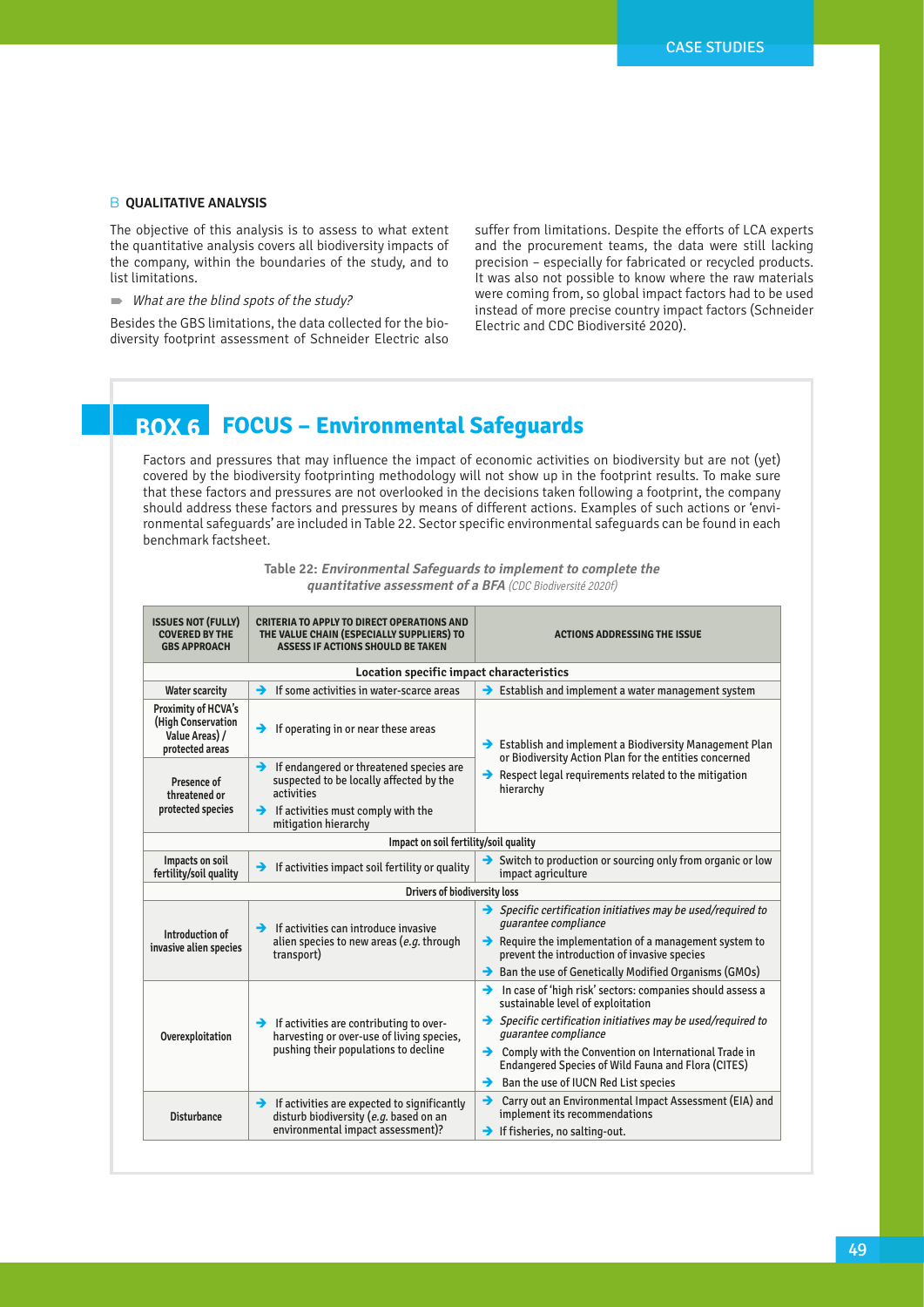### **B QUALITATIVE ANALYSIS**

The objective of this analysis is to assess to what extent the quantitative analysis covers all biodiversity impacts of the company, within the boundaries of the study, and to list limitations.

 $\blacksquare$  What are the blind spots of the study?

Besides the GBS limitations, the data collected for the biodiversity footprint assessment of Schneider Electric also suffer from limitations. Despite the efforts of LCA experts and the procurement teams, the data were still lacking precision – especially for fabricated or recycled products. It was also not possible to know where the raw materials were coming from, so global impact factors had to be used instead of more precise country impact factors (Schneider Electric and CDC Biodiversité 2020).

## **BOX 6 FOCUS – Environmental Safeguards**

Factors and pressures that may influence the impact of economic activities on biodiversity but are not (yet) covered by the biodiversity footprinting methodology will not show up in the footprint results. To make sure that these factors and pressures are not overlooked in the decisions taken following a footprint, the company should address these factors and pressures by means of different actions. Examples of such actions or 'environmental safeguards' are included in Table 22. Sector specific environmental safeguards can be found in each benchmark factsheet.

| <b>ISSUES NOT (FULLY)</b><br><b>COVERED BY THE</b><br><b>GBS APPROACH</b>      | <b>CRITERIA TO APPLY TO DIRECT OPERATIONS AND</b><br>THE VALUE CHAIN (ESPECIALLY SUPPLIERS) TO<br>ASSESS IF ACTIONS SHOULD BE TAKEN                                               | <b>ACTIONS ADDRESSING THE ISSUE</b>                                                                                                                                                                                                                                                                                                                                                                       |  |  |
|--------------------------------------------------------------------------------|-----------------------------------------------------------------------------------------------------------------------------------------------------------------------------------|-----------------------------------------------------------------------------------------------------------------------------------------------------------------------------------------------------------------------------------------------------------------------------------------------------------------------------------------------------------------------------------------------------------|--|--|
| Location specific impact characteristics                                       |                                                                                                                                                                                   |                                                                                                                                                                                                                                                                                                                                                                                                           |  |  |
| <b>Water scarcity</b>                                                          | If some activities in water-scarce areas<br>→                                                                                                                                     | $\rightarrow$ Establish and implement a water management system                                                                                                                                                                                                                                                                                                                                           |  |  |
| Proximity of HCVA's<br>(High Conservation<br>Value Areas) /<br>protected areas | If operating in or near these areas<br>→                                                                                                                                          | $\rightarrow$ Establish and implement a Biodiversity Management Plan<br>or Biodiversity Action Plan for the entities concerned                                                                                                                                                                                                                                                                            |  |  |
| Presence of<br>threatened or<br>protected species                              | If endangered or threatened species are<br>→<br>suspected to be locally affected by the<br>activities<br>$\rightarrow$ If activities must comply with the<br>mitigation hierarchy | $\rightarrow$ Respect legal requirements related to the mitigation<br>hierarchy                                                                                                                                                                                                                                                                                                                           |  |  |
| Impact on soil fertility/soil quality                                          |                                                                                                                                                                                   |                                                                                                                                                                                                                                                                                                                                                                                                           |  |  |
| Impacts on soil<br>fertility/soil quality                                      | If activities impact soil fertility or quality<br>$\rightarrow$                                                                                                                   | $\rightarrow$ Switch to production or sourcing only from organic or low<br>impact agriculture                                                                                                                                                                                                                                                                                                             |  |  |
|                                                                                | Drivers of biodiversity loss                                                                                                                                                      |                                                                                                                                                                                                                                                                                                                                                                                                           |  |  |
| Introduction of<br>invasive alien species                                      | $\rightarrow$ If activities can introduce invasive<br>alien species to new areas (e.g. through<br>transport)                                                                      | $\rightarrow$ Specific certification initiatives may be used/required to<br>quarantee compliance<br>$\rightarrow$ Require the implementation of a management system to<br>prevent the introduction of invasive species<br>$\rightarrow$ Ban the use of Genetically Modified Organisms (GMOs)                                                                                                              |  |  |
| Overexploitation                                                               | $\rightarrow$ If activities are contributing to over-<br>harvesting or over-use of living species,<br>pushing their populations to decline                                        | $\rightarrow$ In case of 'high risk' sectors: companies should assess a<br>sustainable level of exploitation<br>$\rightarrow$ Specific certification initiatives may be used/required to<br>quarantee compliance<br>$\rightarrow$ Comply with the Convention on International Trade in<br><b>Endangered Species of Wild Fauna and Flora (CITES)</b><br>$\rightarrow$ Ban the use of IUCN Red List species |  |  |
| <b>Disturbance</b>                                                             | $\rightarrow$ If activities are expected to significantly<br>disturb biodiversity (e.g. based on an<br>environmental impact assessment)?                                          | Carry out an Environmental Impact Assessment (EIA) and<br>→<br>implement its recommendations<br>$\rightarrow$ If fisheries, no salting-out.                                                                                                                                                                                                                                                               |  |  |

**Table 22: Environmental Safeguards to implement to complete the quantitative assessment of a BFA** (CDC Biodiversité 2020f)